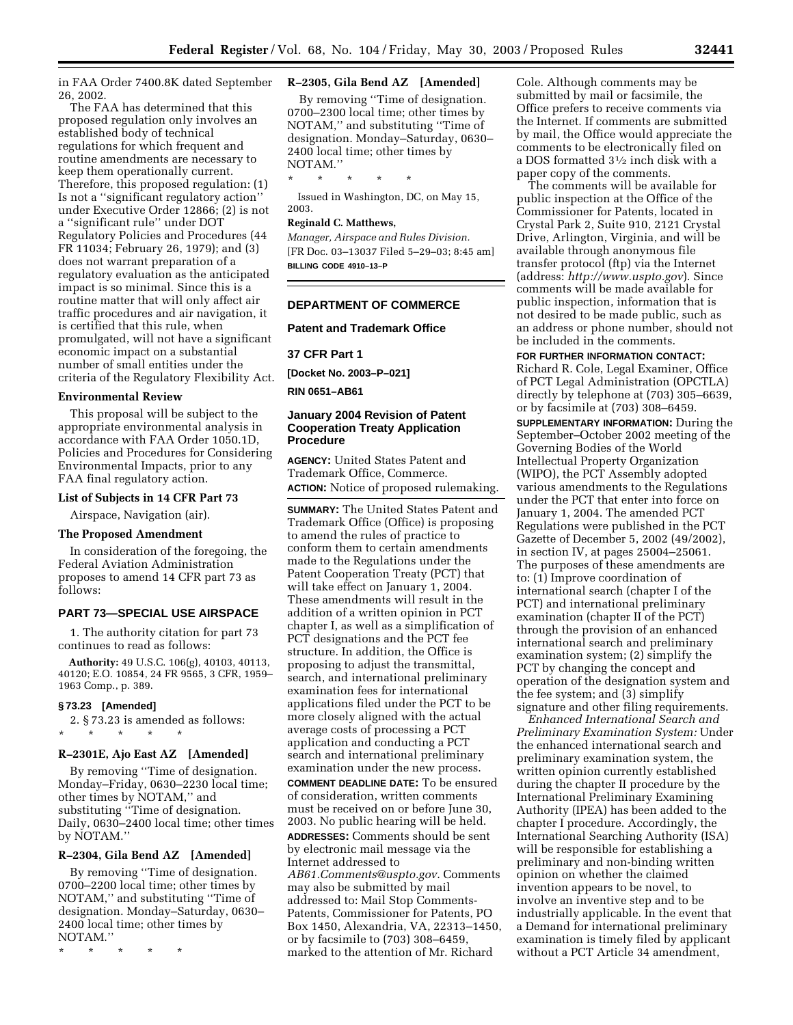in FAA Order 7400.8K dated September 26, 2002.

The FAA has determined that this proposed regulation only involves an established body of technical regulations for which frequent and routine amendments are necessary to keep them operationally current. Therefore, this proposed regulation: (1) Is not a ''significant regulatory action'' under Executive Order 12866; (2) is not a ''significant rule'' under DOT Regulatory Policies and Procedures (44 FR 11034; February 26, 1979); and (3) does not warrant preparation of a regulatory evaluation as the anticipated impact is so minimal. Since this is a routine matter that will only affect air traffic procedures and air navigation, it is certified that this rule, when promulgated, will not have a significant economic impact on a substantial number of small entities under the criteria of the Regulatory Flexibility Act.

# **Environmental Review**

This proposal will be subject to the appropriate environmental analysis in accordance with FAA Order 1050.1D, Policies and Procedures for Considering Environmental Impacts, prior to any FAA final regulatory action.

## **List of Subjects in 14 CFR Part 73**

Airspace, Navigation (air).

# **The Proposed Amendment**

In consideration of the foregoing, the Federal Aviation Administration proposes to amend 14 CFR part 73 as follows:

# **PART 73—SPECIAL USE AIRSPACE**

1. The authority citation for part 73 continues to read as follows:

**Authority:** 49 U.S.C. 106(g), 40103, 40113, 40120; E.O. 10854, 24 FR 9565, 3 CFR, 1959– 1963 Comp., p. 389.

#### **§ 73.23 [Amended]**

2. § 73.23 is amended as follows: \* \* \* \* \*

# **R–2301E, Ajo East AZ [Amended]**

By removing ''Time of designation. Monday–Friday, 0630–2230 local time; other times by NOTAM,'' and substituting ''Time of designation. Daily, 0630–2400 local time; other times by NOTAM.''

## **R–2304, Gila Bend AZ [Amended]**

By removing ''Time of designation. 0700–2200 local time; other times by NOTAM,'' and substituting ''Time of designation. Monday–Saturday, 0630– 2400 local time; other times by NOTAM.''

\* \* \* \* \*

# **R–2305, Gila Bend AZ [Amended]**

By removing ''Time of designation. 0700–2300 local time; other times by NOTAM,'' and substituting ''Time of designation. Monday–Saturday, 0630– 2400 local time; other times by NOTAM.''

\* \* \* \* \*

Issued in Washington, DC, on May 15, 2003.

# **Reginald C. Matthews,**

*Manager, Airspace and Rules Division.*  [FR Doc. 03–13037 Filed 5–29–03; 8:45 am] **BILLING CODE 4910–13–P** 

# **DEPARTMENT OF COMMERCE**

**Patent and Trademark Office** 

# **37 CFR Part 1**

**[Docket No. 2003–P–021]** 

**RIN 0651–AB61** 

# **January 2004 Revision of Patent Cooperation Treaty Application Procedure**

**AGENCY:** United States Patent and Trademark Office, Commerce. **ACTION:** Notice of proposed rulemaking.

**SUMMARY:** The United States Patent and Trademark Office (Office) is proposing to amend the rules of practice to conform them to certain amendments made to the Regulations under the Patent Cooperation Treaty (PCT) that will take effect on January 1, 2004. These amendments will result in the addition of a written opinion in PCT chapter I, as well as a simplification of PCT designations and the PCT fee structure. In addition, the Office is proposing to adjust the transmittal, search, and international preliminary examination fees for international applications filed under the PCT to be more closely aligned with the actual average costs of processing a PCT application and conducting a PCT search and international preliminary examination under the new process.

**COMMENT DEADLINE DATE:** To be ensured of consideration, written comments must be received on or before June 30, 2003. No public hearing will be held.

**ADDRESSES:** Comments should be sent by electronic mail message via the Internet addressed to *[AB61.Comments@uspto.gov](mailto:AB61.Comments@uspto.gov)*. Comments may also be submitted by mail addressed to: Mail Stop Comments-

Patents, Commissioner for Patents, PO Box 1450, Alexandria, VA, 22313–1450, or by facsimile to (703) 308–6459, marked to the attention of Mr. Richard

Cole. Although comments may be submitted by mail or facsimile, the Office prefers to receive comments via the Internet. If comments are submitted by mail, the Office would appreciate the comments to be electronically filed on a DOS formatted 31⁄2 inch disk with a paper copy of the comments.

The comments will be available for public inspection at the Office of the Commissioner for Patents, located in Crystal Park 2, Suite 910, 2121 Crystal Drive, Arlington, Virginia, and will be available through anonymous file transfer protocol (ftp) via the Internet (address: *<http://www.uspto.gov>*). Since comments will be made available for public inspection, information that is not desired to be made public, such as an address or phone number, should not be included in the comments.

## **FOR FURTHER INFORMATION CONTACT:**

Richard R. Cole, Legal Examiner, Office of PCT Legal Administration (OPCTLA) directly by telephone at (703) 305–6639, or by facsimile at (703) 308–6459.

**SUPPLEMENTARY INFORMATION:** During the September–October 2002 meeting of the Governing Bodies of the World Intellectual Property Organization (WIPO), the PCT Assembly adopted various amendments to the Regulations under the PCT that enter into force on January 1, 2004. The amended PCT Regulations were published in the PCT Gazette of December 5, 2002 (49/2002), in section IV, at pages 25004–25061. The purposes of these amendments are to: (1) Improve coordination of international search (chapter I of the PCT) and international preliminary examination (chapter II of the PCT) through the provision of an enhanced international search and preliminary examination system; (2) simplify the PCT by changing the concept and operation of the designation system and the fee system; and (3) simplify signature and other filing requirements.

*Enhanced International Search and Preliminary Examination System:* Under the enhanced international search and preliminary examination system, the written opinion currently established during the chapter II procedure by the International Preliminary Examining Authority (IPEA) has been added to the chapter I procedure. Accordingly, the International Searching Authority (ISA) will be responsible for establishing a preliminary and non-binding written opinion on whether the claimed invention appears to be novel, to involve an inventive step and to be industrially applicable. In the event that a Demand for international preliminary examination is timely filed by applicant without a PCT Article 34 amendment,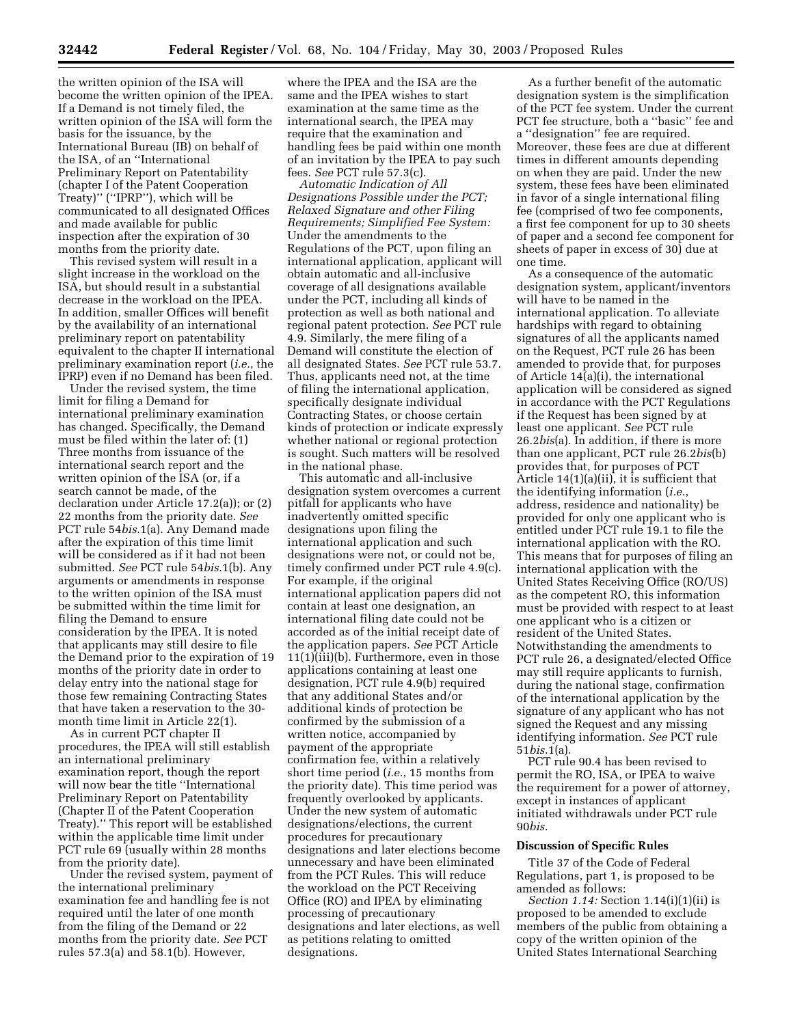the written opinion of the ISA will become the written opinion of the IPEA. If a Demand is not timely filed, the written opinion of the ISA will form the basis for the issuance, by the International Bureau (IB) on behalf of the ISA, of an ''International Preliminary Report on Patentability (chapter I of the Patent Cooperation Treaty)'' (''IPRP''), which will be communicated to all designated Offices and made available for public inspection after the expiration of 30 months from the priority date.

This revised system will result in a slight increase in the workload on the ISA, but should result in a substantial decrease in the workload on the IPEA. In addition, smaller Offices will benefit by the availability of an international preliminary report on patentability equivalent to the chapter II international preliminary examination report (*i.e.*, the IPRP) even if no Demand has been filed.

Under the revised system, the time limit for filing a Demand for international preliminary examination has changed. Specifically, the Demand must be filed within the later of: (1) Three months from issuance of the international search report and the written opinion of the ISA (or, if a search cannot be made, of the declaration under Article 17.2(a)); or (2) 22 months from the priority date. *See*  PCT rule 54*bis*.1(a). Any Demand made after the expiration of this time limit will be considered as if it had not been submitted. *See* PCT rule 54*bis*.1(b). Any arguments or amendments in response to the written opinion of the ISA must be submitted within the time limit for filing the Demand to ensure consideration by the IPEA. It is noted that applicants may still desire to file the Demand prior to the expiration of 19 months of the priority date in order to delay entry into the national stage for those few remaining Contracting States that have taken a reservation to the 30 month time limit in Article 22(1).

As in current PCT chapter II procedures, the IPEA will still establish an international preliminary examination report, though the report will now bear the title ''International Preliminary Report on Patentability (Chapter II of the Patent Cooperation Treaty).'' This report will be established within the applicable time limit under PCT rule 69 (usually within 28 months from the priority date).

Under the revised system, payment of the international preliminary examination fee and handling fee is not required until the later of one month from the filing of the Demand or 22 months from the priority date. *See* PCT rules 57.3(a) and 58.1(b). However,

where the IPEA and the ISA are the same and the IPEA wishes to start examination at the same time as the international search, the IPEA may require that the examination and handling fees be paid within one month of an invitation by the IPEA to pay such fees. *See* PCT rule 57.3(c).

*Automatic Indication of All Designations Possible under the PCT; Relaxed Signature and other Filing Requirements; Simplified Fee System:*  Under the amendments to the Regulations of the PCT, upon filing an international application, applicant will obtain automatic and all-inclusive coverage of all designations available under the PCT, including all kinds of protection as well as both national and regional patent protection. *See* PCT rule 4.9. Similarly, the mere filing of a Demand will constitute the election of all designated States. *See* PCT rule 53.7. Thus, applicants need not, at the time of filing the international application, specifically designate individual Contracting States, or choose certain kinds of protection or indicate expressly whether national or regional protection is sought. Such matters will be resolved in the national phase.

This automatic and all-inclusive designation system overcomes a current pitfall for applicants who have inadvertently omitted specific designations upon filing the international application and such designations were not, or could not be, timely confirmed under PCT rule 4.9(c). For example, if the original international application papers did not contain at least one designation, an international filing date could not be accorded as of the initial receipt date of the application papers. *See* PCT Article 11(1)(iii)(b). Furthermore, even in those applications containing at least one designation, PCT rule 4.9(b) required that any additional States and/or additional kinds of protection be confirmed by the submission of a written notice, accompanied by payment of the appropriate confirmation fee, within a relatively short time period (*i.e.*, 15 months from the priority date). This time period was frequently overlooked by applicants. Under the new system of automatic designations/elections, the current procedures for precautionary designations and later elections become unnecessary and have been eliminated from the PCT Rules. This will reduce the workload on the PCT Receiving Office (RO) and IPEA by eliminating processing of precautionary designations and later elections, as well as petitions relating to omitted designations.

As a further benefit of the automatic designation system is the simplification of the PCT fee system. Under the current PCT fee structure, both a ''basic'' fee and a ''designation'' fee are required. Moreover, these fees are due at different times in different amounts depending on when they are paid. Under the new system, these fees have been eliminated in favor of a single international filing fee (comprised of two fee components, a first fee component for up to 30 sheets of paper and a second fee component for sheets of paper in excess of 30) due at one time.

As a consequence of the automatic designation system, applicant/inventors will have to be named in the international application. To alleviate hardships with regard to obtaining signatures of all the applicants named on the Request, PCT rule 26 has been amended to provide that, for purposes of Article 14(a)(i), the international application will be considered as signed in accordance with the PCT Regulations if the Request has been signed by at least one applicant. *See* PCT rule 26.2*bis*(a). In addition, if there is more than one applicant, PCT rule 26.2*bis*(b) provides that, for purposes of PCT Article 14(1)(a)(ii), it is sufficient that the identifying information (*i.e.*, address, residence and nationality) be provided for only one applicant who is entitled under PCT rule 19.1 to file the international application with the RO. This means that for purposes of filing an international application with the United States Receiving Office (RO/US) as the competent RO, this information must be provided with respect to at least one applicant who is a citizen or resident of the United States. Notwithstanding the amendments to PCT rule 26, a designated/elected Office may still require applicants to furnish, during the national stage, confirmation of the international application by the signature of any applicant who has not signed the Request and any missing identifying information. *See* PCT rule 51*bis*.1(a).

PCT rule 90.4 has been revised to permit the RO, ISA, or IPEA to waive the requirement for a power of attorney, except in instances of applicant initiated withdrawals under PCT rule 90*bis*.

# **Discussion of Specific Rules**

Title 37 of the Code of Federal Regulations, part 1, is proposed to be amended as follows:

*Section 1.14:* Section 1.14(i)(1)(ii) is proposed to be amended to exclude members of the public from obtaining a copy of the written opinion of the United States International Searching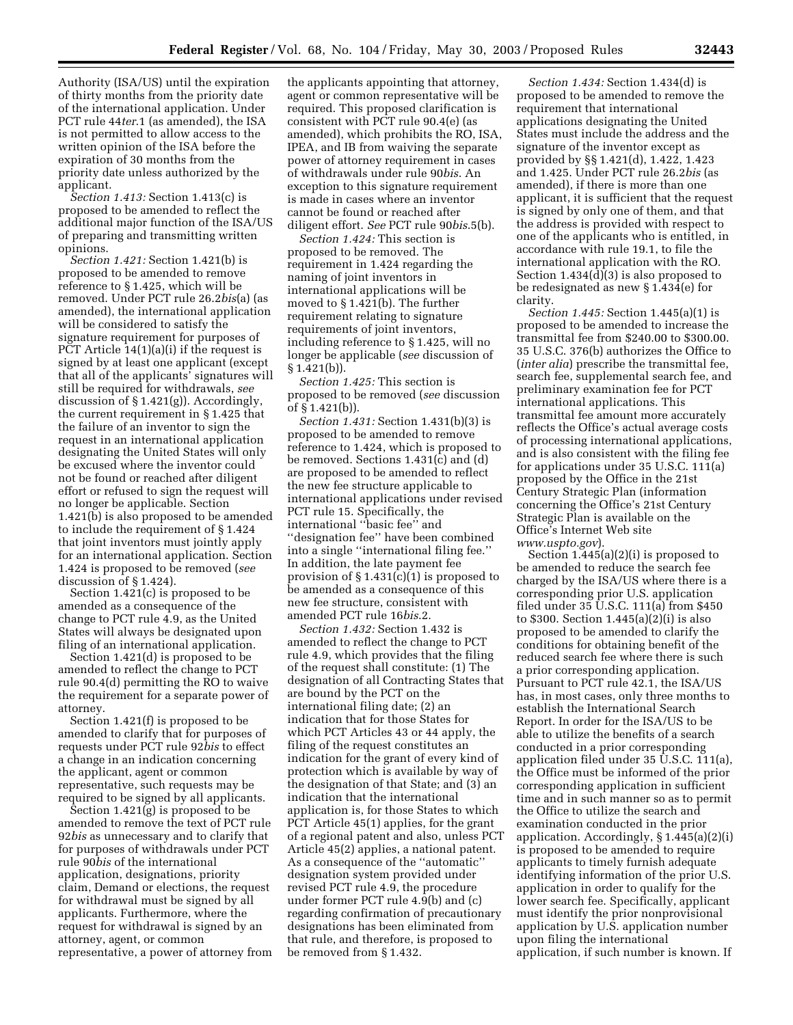Authority (ISA/US) until the expiration of thirty months from the priority date of the international application. Under PCT rule 44*ter*.1 (as amended), the ISA is not permitted to allow access to the written opinion of the ISA before the expiration of 30 months from the priority date unless authorized by the applicant.

*Section 1.413:* Section 1.413(c) is proposed to be amended to reflect the additional major function of the ISA/US of preparing and transmitting written opinions.

*Section 1.421:* Section 1.421(b) is proposed to be amended to remove reference to § 1.425, which will be removed. Under PCT rule 26.2*bis*(a) (as amended), the international application will be considered to satisfy the signature requirement for purposes of PCT Article 14(1)(a)(i) if the request is signed by at least one applicant (except that all of the applicants' signatures will still be required for withdrawals, *see*  discussion of § 1.421(g)). Accordingly, the current requirement in § 1.425 that the failure of an inventor to sign the request in an international application designating the United States will only be excused where the inventor could not be found or reached after diligent effort or refused to sign the request will no longer be applicable. Section 1.421(b) is also proposed to be amended to include the requirement of § 1.424 that joint inventors must jointly apply for an international application. Section 1.424 is proposed to be removed (*see*  discussion of § 1.424).

Section 1.421(c) is proposed to be amended as a consequence of the change to PCT rule 4.9, as the United States will always be designated upon filing of an international application.

Section 1.421(d) is proposed to be amended to reflect the change to PCT rule 90.4(d) permitting the RO to waive the requirement for a separate power of attorney.

Section 1.421(f) is proposed to be amended to clarify that for purposes of requests under PCT rule 92*bis* to effect a change in an indication concerning the applicant, agent or common representative, such requests may be required to be signed by all applicants.

Section 1.421(g) is proposed to be amended to remove the text of PCT rule 92*bis* as unnecessary and to clarify that for purposes of withdrawals under PCT rule 90*bis* of the international application, designations, priority claim, Demand or elections, the request for withdrawal must be signed by all applicants. Furthermore, where the request for withdrawal is signed by an attorney, agent, or common representative, a power of attorney from the applicants appointing that attorney, agent or common representative will be required. This proposed clarification is consistent with PCT rule 90.4(e) (as amended), which prohibits the RO, ISA, IPEA, and IB from waiving the separate power of attorney requirement in cases of withdrawals under rule 90*bis*. An exception to this signature requirement is made in cases where an inventor cannot be found or reached after diligent effort. *See* PCT rule 90*bis*.5(b).

*Section 1.424:* This section is proposed to be removed. The requirement in 1.424 regarding the naming of joint inventors in international applications will be moved to § 1.421(b). The further requirement relating to signature requirements of joint inventors, including reference to § 1.425, will no longer be applicable (*see* discussion of § 1.421(b)).

*Section 1.425:* This section is proposed to be removed (*see* discussion of § 1.421(b)).

*Section 1.431:* Section 1.431(b)(3) is proposed to be amended to remove reference to 1.424, which is proposed to be removed. Sections 1.431(c) and (d) are proposed to be amended to reflect the new fee structure applicable to international applications under revised PCT rule 15. Specifically, the international ''basic fee'' and ''designation fee'' have been combined into a single ''international filing fee.'' In addition, the late payment fee provision of § 1.431(c)(1) is proposed to be amended as a consequence of this new fee structure, consistent with amended PCT rule 16*bis*.2.

*Section 1.432:* Section 1.432 is amended to reflect the change to PCT rule 4.9, which provides that the filing of the request shall constitute: (1) The designation of all Contracting States that are bound by the PCT on the international filing date; (2) an indication that for those States for which PCT Articles 43 or 44 apply, the filing of the request constitutes an indication for the grant of every kind of protection which is available by way of the designation of that State; and (3) an indication that the international application is, for those States to which PCT Article 45(1) applies, for the grant of a regional patent and also, unless PCT Article 45(2) applies, a national patent. As a consequence of the ''automatic'' designation system provided under revised PCT rule 4.9, the procedure under former PCT rule 4.9(b) and (c) regarding confirmation of precautionary designations has been eliminated from that rule, and therefore, is proposed to be removed from § 1.432.

*Section 1.434:* Section 1.434(d) is proposed to be amended to remove the requirement that international applications designating the United States must include the address and the signature of the inventor except as provided by §§ 1.421(d), 1.422, 1.423 and 1.425. Under PCT rule 26.2*bis* (as amended), if there is more than one applicant, it is sufficient that the request is signed by only one of them, and that the address is provided with respect to one of the applicants who is entitled, in accordance with rule 19.1, to file the international application with the RO. Section 1.434(d)(3) is also proposed to be redesignated as new § 1.434(e) for clarity.

*Section 1.445:* Section 1.445(a)(1) is proposed to be amended to increase the transmittal fee from \$240.00 to \$300.00. 35 U.S.C. 376(b) authorizes the Office to (*inter alia*) prescribe the transmittal fee, search fee, supplemental search fee, and preliminary examination fee for PCT international applications. This transmittal fee amount more accurately reflects the Office's actual average costs of processing international applications, and is also consistent with the filing fee for applications under 35 U.S.C. 111(a) proposed by the Office in the 21st Century Strategic Plan (information concerning the Office's 21st Century Strategic Plan is available on the Office's Internet Web site *[www.uspto.gov](http://www.uspto.gov)*).

Section 1.445(a)(2)(i) is proposed to be amended to reduce the search fee charged by the ISA/US where there is a corresponding prior U.S. application filed under 35 U.S.C. 111(a) from \$450 to \$300. Section 1.445(a)(2)(i) is also proposed to be amended to clarify the conditions for obtaining benefit of the reduced search fee where there is such a prior corresponding application. Pursuant to PCT rule 42.1, the ISA/US has, in most cases, only three months to establish the International Search Report. In order for the ISA/US to be able to utilize the benefits of a search conducted in a prior corresponding application filed under 35 U.S.C. 111(a), the Office must be informed of the prior corresponding application in sufficient time and in such manner so as to permit the Office to utilize the search and examination conducted in the prior application. Accordingly, § 1.445(a)(2)(i) is proposed to be amended to require applicants to timely furnish adequate identifying information of the prior U.S. application in order to qualify for the lower search fee. Specifically, applicant must identify the prior nonprovisional application by U.S. application number upon filing the international application, if such number is known. If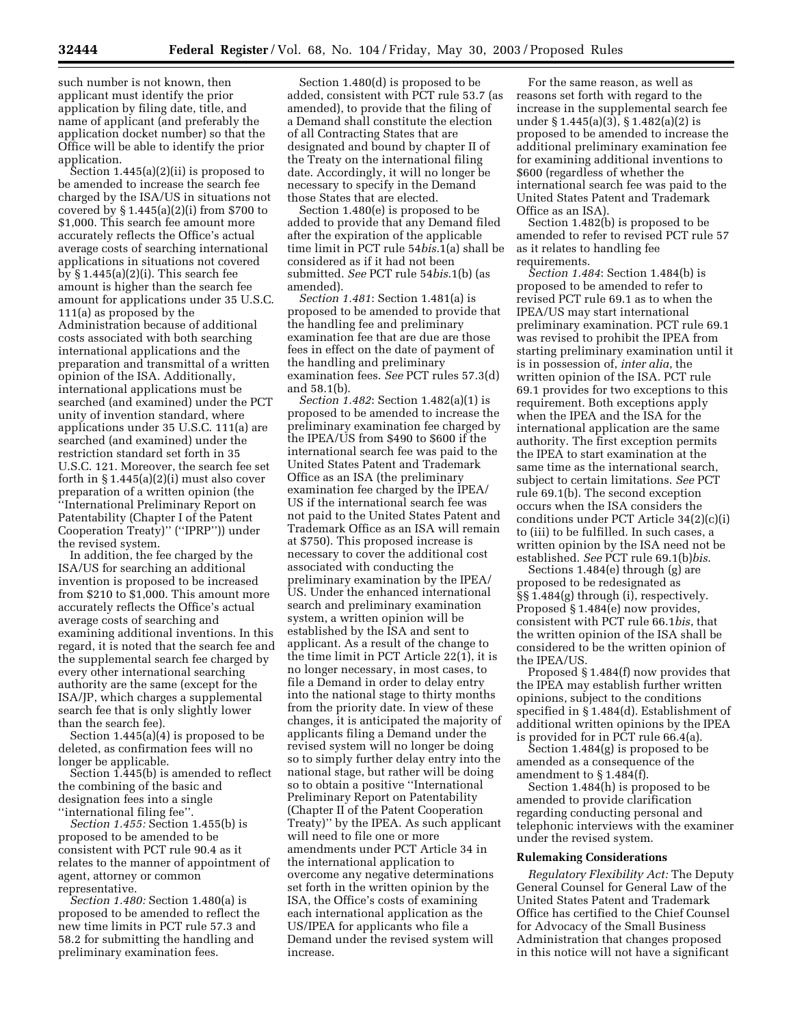such number is not known, then applicant must identify the prior application by filing date, title, and name of applicant (and preferably the application docket number) so that the Office will be able to identify the prior application.

Section 1.445(a)(2)(ii) is proposed to be amended to increase the search fee charged by the ISA/US in situations not covered by § 1.445(a)(2)(i) from \$700 to \$1,000. This search fee amount more accurately reflects the Office's actual average costs of searching international applications in situations not covered by § 1.445(a)(2)(i). This search fee amount is higher than the search fee amount for applications under 35 U.S.C. 111(a) as proposed by the Administration because of additional costs associated with both searching international applications and the preparation and transmittal of a written opinion of the ISA. Additionally, international applications must be searched (and examined) under the PCT unity of invention standard, where applications under 35 U.S.C. 111(a) are searched (and examined) under the restriction standard set forth in 35 U.S.C. 121. Moreover, the search fee set forth in  $\S 1.445(a)(2)(i)$  must also cover preparation of a written opinion (the ''International Preliminary Report on Patentability (Chapter I of the Patent Cooperation Treaty)'' (''IPRP'')) under the revised system.

In addition, the fee charged by the ISA/US for searching an additional invention is proposed to be increased from \$210 to \$1,000. This amount more accurately reflects the Office's actual average costs of searching and examining additional inventions. In this regard, it is noted that the search fee and the supplemental search fee charged by every other international searching authority are the same (except for the ISA/JP, which charges a supplemental search fee that is only slightly lower than the search fee).

Section  $1.445(a)(4)$  is proposed to be deleted, as confirmation fees will no longer be applicable.

Section 1.445(b) is amended to reflect the combining of the basic and designation fees into a single ''international filing fee''.

*Section 1.455:* Section 1.455(b) is proposed to be amended to be consistent with PCT rule 90.4 as it relates to the manner of appointment of agent, attorney or common representative.

*Section 1.480:* Section 1.480(a) is proposed to be amended to reflect the new time limits in PCT rule 57.3 and 58.2 for submitting the handling and preliminary examination fees.

Section 1.480(d) is proposed to be added, consistent with PCT rule 53.7 (as amended), to provide that the filing of a Demand shall constitute the election of all Contracting States that are designated and bound by chapter II of the Treaty on the international filing date. Accordingly, it will no longer be necessary to specify in the Demand those States that are elected.

Section 1.480(e) is proposed to be added to provide that any Demand filed after the expiration of the applicable time limit in PCT rule 54*bis*.1(a) shall be considered as if it had not been submitted. *See* PCT rule 54*bis*.1(b) (as amended).

*Section 1.481*: Section 1.481(a) is proposed to be amended to provide that the handling fee and preliminary examination fee that are due are those fees in effect on the date of payment of the handling and preliminary examination fees. *See* PCT rules 57.3(d) and 58.1(b).

*Section 1.482*: Section 1.482(a)(1) is proposed to be amended to increase the preliminary examination fee charged by the IPEA/US from \$490 to \$600 if the international search fee was paid to the United States Patent and Trademark Office as an ISA (the preliminary examination fee charged by the IPEA/ US if the international search fee was not paid to the United States Patent and Trademark Office as an ISA will remain at \$750). This proposed increase is necessary to cover the additional cost associated with conducting the preliminary examination by the IPEA/ US. Under the enhanced international search and preliminary examination system, a written opinion will be established by the ISA and sent to applicant. As a result of the change to the time limit in PCT Article 22(1), it is no longer necessary, in most cases, to file a Demand in order to delay entry into the national stage to thirty months from the priority date. In view of these changes, it is anticipated the majority of applicants filing a Demand under the revised system will no longer be doing so to simply further delay entry into the national stage, but rather will be doing so to obtain a positive ''International Preliminary Report on Patentability (Chapter II of the Patent Cooperation Treaty)'' by the IPEA. As such applicant will need to file one or more amendments under PCT Article 34 in the international application to overcome any negative determinations set forth in the written opinion by the ISA, the Office's costs of examining each international application as the US/IPEA for applicants who file a Demand under the revised system will increase.

For the same reason, as well as reasons set forth with regard to the increase in the supplemental search fee under § 1.445(a)(3), § 1.482(a)(2) is proposed to be amended to increase the additional preliminary examination fee for examining additional inventions to \$600 (regardless of whether the international search fee was paid to the United States Patent and Trademark Office as an ISA).

Section 1.482(b) is proposed to be amended to refer to revised PCT rule 57 as it relates to handling fee requirements.

*Section 1.484*: Section 1.484(b) is proposed to be amended to refer to revised PCT rule 69.1 as to when the IPEA/US may start international preliminary examination. PCT rule 69.1 was revised to prohibit the IPEA from starting preliminary examination until it is in possession of, *inter alia*, the written opinion of the ISA. PCT rule 69.1 provides for two exceptions to this requirement. Both exceptions apply when the IPEA and the ISA for the international application are the same authority. The first exception permits the IPEA to start examination at the same time as the international search, subject to certain limitations. *See* PCT rule 69.1(b). The second exception occurs when the ISA considers the conditions under PCT Article 34(2)(c)(i) to (iii) to be fulfilled. In such cases, a written opinion by the ISA need not be established. *See* PCT rule 69.1(b)*bis*.

Sections 1.484(e) through (g) are proposed to be redesignated as §§ 1.484(g) through (i), respectively. Proposed § 1.484(e) now provides, consistent with PCT rule 66.1*bis*, that the written opinion of the ISA shall be considered to be the written opinion of the IPEA/US.

Proposed § 1.484(f) now provides that the IPEA may establish further written opinions, subject to the conditions specified in § 1.484(d). Establishment of additional written opinions by the IPEA is provided for in PCT rule 66.4(a).

Section 1.484(g) is proposed to be amended as a consequence of the amendment to § 1.484(f).

Section 1.484(h) is proposed to be amended to provide clarification regarding conducting personal and telephonic interviews with the examiner under the revised system.

#### **Rulemaking Considerations**

*Regulatory Flexibility Act:* The Deputy General Counsel for General Law of the United States Patent and Trademark Office has certified to the Chief Counsel for Advocacy of the Small Business Administration that changes proposed in this notice will not have a significant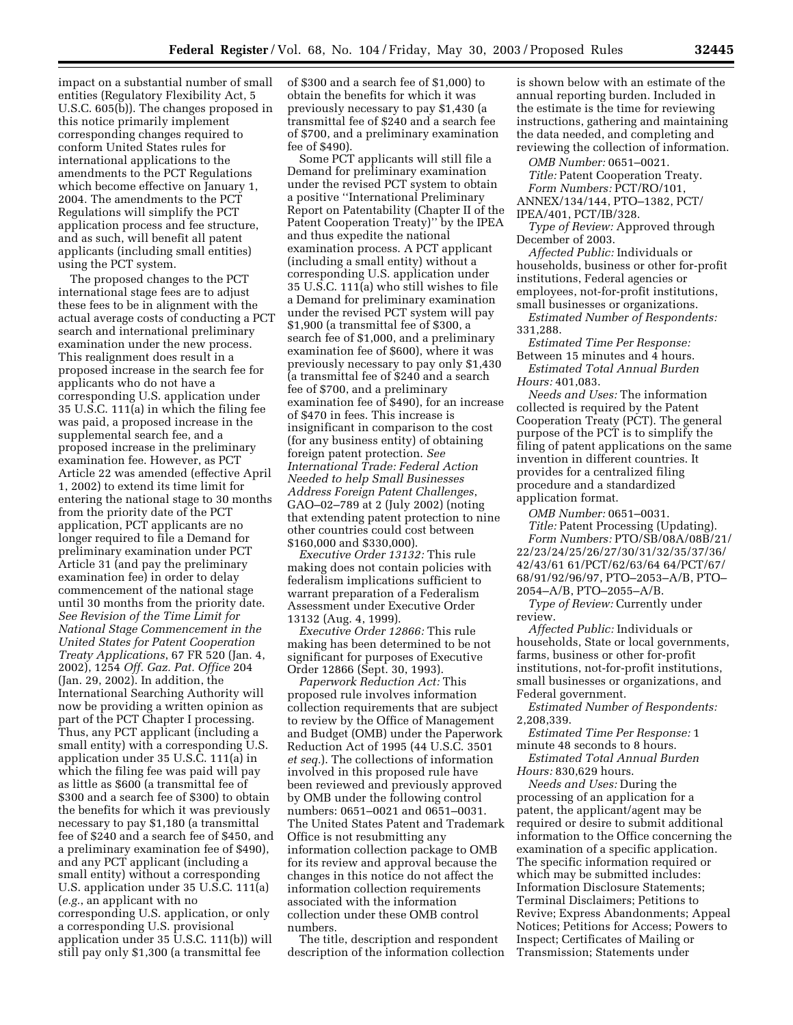impact on a substantial number of small entities (Regulatory Flexibility Act, 5 U.S.C. 605(b)). The changes proposed in this notice primarily implement corresponding changes required to conform United States rules for international applications to the amendments to the PCT Regulations which become effective on January 1, 2004. The amendments to the PCT Regulations will simplify the PCT application process and fee structure, and as such, will benefit all patent applicants (including small entities) using the PCT system.

The proposed changes to the PCT international stage fees are to adjust these fees to be in alignment with the actual average costs of conducting a PCT search and international preliminary examination under the new process. This realignment does result in a proposed increase in the search fee for applicants who do not have a corresponding U.S. application under 35 U.S.C. 111(a) in which the filing fee was paid, a proposed increase in the supplemental search fee, and a proposed increase in the preliminary examination fee. However, as PCT Article 22 was amended (effective April 1, 2002) to extend its time limit for entering the national stage to 30 months from the priority date of the PCT application, PCT applicants are no longer required to file a Demand for preliminary examination under PCT Article 31 (and pay the preliminary examination fee) in order to delay commencement of the national stage until 30 months from the priority date. *See Revision of the Time Limit for National Stage Commencement in the United States for Patent Cooperation Treaty Applications*, 67 FR 520 (Jan. 4, 2002), 1254 *Off. Gaz. Pat. Office* 204 (Jan. 29, 2002). In addition, the International Searching Authority will now be providing a written opinion as part of the PCT Chapter I processing. Thus, any PCT applicant (including a small entity) with a corresponding U.S. application under 35 U.S.C. 111(a) in which the filing fee was paid will pay as little as \$600 (a transmittal fee of \$300 and a search fee of \$300) to obtain the benefits for which it was previously necessary to pay \$1,180 (a transmittal fee of \$240 and a search fee of \$450, and a preliminary examination fee of \$490), and any PCT applicant (including a small entity) without a corresponding U.S. application under 35 U.S.C. 111(a) (*e.g.*, an applicant with no corresponding U.S. application, or only a corresponding U.S. provisional application under 35 U.S.C. 111(b)) will still pay only \$1,300 (a transmittal fee

of \$300 and a search fee of \$1,000) to obtain the benefits for which it was previously necessary to pay \$1,430 (a transmittal fee of \$240 and a search fee of \$700, and a preliminary examination fee of \$490).

Some PCT applicants will still file a Demand for preliminary examination under the revised PCT system to obtain a positive ''International Preliminary Report on Patentability (Chapter II of the Patent Cooperation Treaty)'' by the IPEA and thus expedite the national examination process. A PCT applicant (including a small entity) without a corresponding U.S. application under 35 U.S.C. 111(a) who still wishes to file a Demand for preliminary examination under the revised PCT system will pay \$1,900 (a transmittal fee of \$300, a search fee of \$1,000, and a preliminary examination fee of \$600), where it was previously necessary to pay only \$1,430 (a transmittal fee of \$240 and a search fee of \$700, and a preliminary examination fee of \$490), for an increase of \$470 in fees. This increase is insignificant in comparison to the cost (for any business entity) of obtaining foreign patent protection. *See International Trade: Federal Action Needed to help Small Businesses Address Foreign Patent Challenges*, GAO–02–789 at 2 (July 2002) (noting that extending patent protection to nine other countries could cost between \$160,000 and \$330,000).

*Executive Order 13132:* This rule making does not contain policies with federalism implications sufficient to warrant preparation of a Federalism Assessment under Executive Order 13132 (Aug. 4, 1999).

*Executive Order 12866:* This rule making has been determined to be not significant for purposes of Executive Order 12866 (Sept. 30, 1993).

*Paperwork Reduction Act:* This proposed rule involves information collection requirements that are subject to review by the Office of Management and Budget (OMB) under the Paperwork Reduction Act of 1995 (44 U.S.C. 3501 *et seq.*). The collections of information involved in this proposed rule have been reviewed and previously approved by OMB under the following control numbers: 0651–0021 and 0651–0031. The United States Patent and Trademark Office is not resubmitting any information collection package to OMB for its review and approval because the changes in this notice do not affect the information collection requirements associated with the information collection under these OMB control numbers.

The title, description and respondent description of the information collection is shown below with an estimate of the annual reporting burden. Included in the estimate is the time for reviewing instructions, gathering and maintaining the data needed, and completing and reviewing the collection of information.

*OMB Number:* 0651–0021. *Title:* Patent Cooperation Treaty. *Form Numbers:* PCT/RO/101,

ANNEX/134/144, PTO–1382, PCT/ IPEA/401, PCT/IB/328.

*Type of Review:* Approved through December of 2003.

*Affected Public:* Individuals or households, business or other for-profit institutions, Federal agencies or employees, not-for-profit institutions, small businesses or organizations.

*Estimated Number of Respondents:*  331,288.

*Estimated Time Per Response:*  Between 15 minutes and 4 hours. *Estimated Total Annual Burden* 

*Hours:* 401,083.

*Needs and Uses:* The information collected is required by the Patent Cooperation Treaty (PCT). The general purpose of the PCT is to simplify the filing of patent applications on the same invention in different countries. It provides for a centralized filing procedure and a standardized application format.

*OMB Number:* 0651–0031.

*Title:* Patent Processing (Updating). *Form Numbers:* PTO/SB/08A/08B/21/ 22/23/24/25/26/27/30/31/32/35/37/36/ 42/43/61 61/PCT/62/63/64 64/PCT/67/ 68/91/92/96/97, PTO–2053–A/B, PTO– 2054–A/B, PTO–2055–A/B.

*Type of Review:* Currently under review.

*Affected Public:* Individuals or households, State or local governments, farms, business or other for-profit institutions, not-for-profit institutions, small businesses or organizations, and Federal government.

*Estimated Number of Respondents:*  2,208,339.

*Estimated Time Per Response:* 1 minute 48 seconds to 8 hours.

*Estimated Total Annual Burden Hours:* 830,629 hours.

*Needs and Uses:* During the processing of an application for a patent, the applicant/agent may be required or desire to submit additional information to the Office concerning the examination of a specific application. The specific information required or which may be submitted includes: Information Disclosure Statements; Terminal Disclaimers; Petitions to Revive; Express Abandonments; Appeal Notices; Petitions for Access; Powers to Inspect; Certificates of Mailing or Transmission; Statements under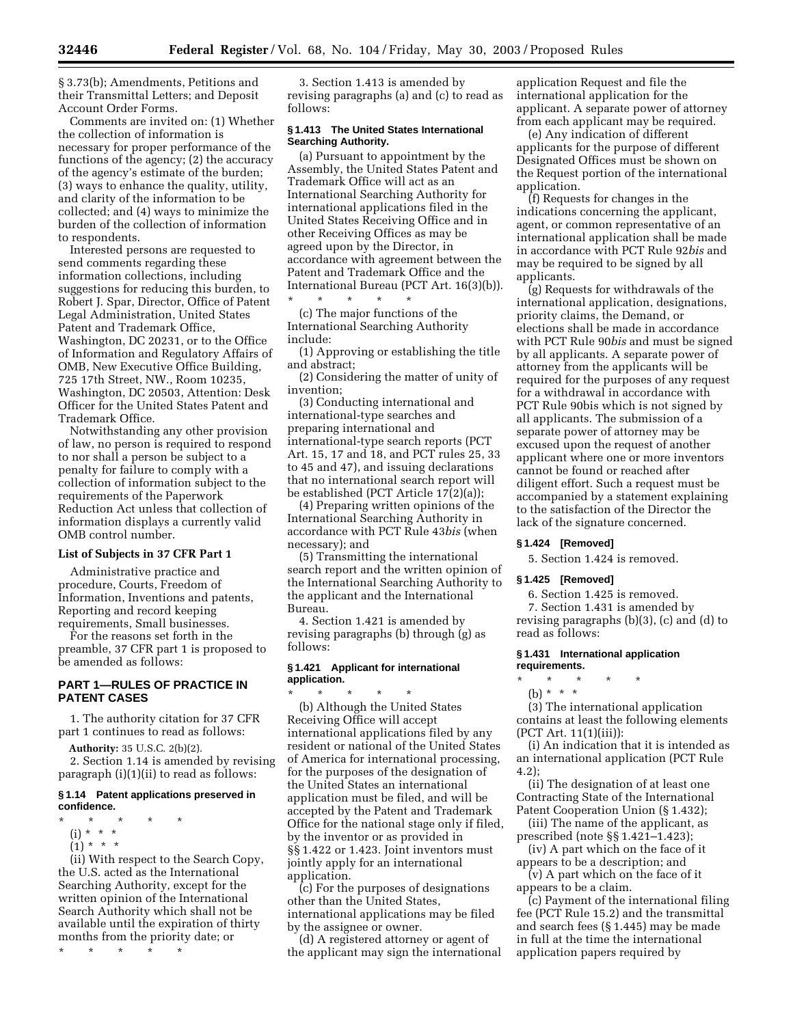§ 3.73(b); Amendments, Petitions and their Transmittal Letters; and Deposit Account Order Forms.

Comments are invited on: (1) Whether the collection of information is necessary for proper performance of the functions of the agency; (2) the accuracy of the agency's estimate of the burden; (3) ways to enhance the quality, utility, and clarity of the information to be collected; and (4) ways to minimize the burden of the collection of information to respondents.

Interested persons are requested to send comments regarding these information collections, including suggestions for reducing this burden, to Robert J. Spar, Director, Office of Patent Legal Administration, United States Patent and Trademark Office, Washington, DC 20231, or to the Office of Information and Regulatory Affairs of OMB, New Executive Office Building, 725 17th Street, NW., Room 10235, Washington, DC 20503, Attention: Desk Officer for the United States Patent and Trademark Office.

Notwithstanding any other provision of law, no person is required to respond to nor shall a person be subject to a penalty for failure to comply with a collection of information subject to the requirements of the Paperwork Reduction Act unless that collection of information displays a currently valid OMB control number.

# **List of Subjects in 37 CFR Part 1**

Administrative practice and procedure, Courts, Freedom of Information, Inventions and patents, Reporting and record keeping requirements, Small businesses.

For the reasons set forth in the preamble, 37 CFR part 1 is proposed to be amended as follows:

# **PART 1—RULES OF PRACTICE IN PATENT CASES**

1. The authority citation for 37 CFR part 1 continues to read as follows:

**Authority:** 35 U.S.C. 2(b)(2).

2. Section 1.14 is amended by revising paragraph (i)(1)(ii) to read as follows:

#### **§ 1.14 Patent applications preserved in confidence.**

- \* \* \* \* \*
- (i) \* \* \*
- $(1) * * * *$

(ii) With respect to the Search Copy, the U.S. acted as the International Searching Authority, except for the written opinion of the International Search Authority which shall not be available until the expiration of thirty months from the priority date; or

\* \* \* \* \*

3. Section 1.413 is amended by revising paragraphs (a) and (c) to read as follows:

#### **§ 1.413 The United States International Searching Authority.**

(a) Pursuant to appointment by the Assembly, the United States Patent and Trademark Office will act as an International Searching Authority for international applications filed in the United States Receiving Office and in other Receiving Offices as may be agreed upon by the Director, in accordance with agreement between the Patent and Trademark Office and the International Bureau (PCT Art. 16(3)(b)). \* \* \* \* \*

(c) The major functions of the International Searching Authority include:

(1) Approving or establishing the title and abstract;

(2) Considering the matter of unity of invention;

(3) Conducting international and international-type searches and preparing international and international-type search reports (PCT Art. 15, 17 and 18, and PCT rules 25, 33 to 45 and 47), and issuing declarations that no international search report will be established (PCT Article 17(2)(a));

(4) Preparing written opinions of the International Searching Authority in accordance with PCT Rule 43*bis* (when necessary); and

(5) Transmitting the international search report and the written opinion of the International Searching Authority to the applicant and the International Bureau.

4. Section 1.421 is amended by revising paragraphs (b) through (g) as follows:

## **§ 1.421 Applicant for international application.**

\* \* \* \* \* (b) Although the United States Receiving Office will accept international applications filed by any resident or national of the United States of America for international processing, for the purposes of the designation of the United States an international application must be filed, and will be accepted by the Patent and Trademark Office for the national stage only if filed, by the inventor or as provided in §§ 1.422 or 1.423. Joint inventors must jointly apply for an international application.

(c) For the purposes of designations other than the United States, international applications may be filed by the assignee or owner.

(d) A registered attorney or agent of the applicant may sign the international application Request and file the international application for the applicant. A separate power of attorney from each applicant may be required.

(e) Any indication of different applicants for the purpose of different Designated Offices must be shown on the Request portion of the international application.

(f) Requests for changes in the indications concerning the applicant, agent, or common representative of an international application shall be made in accordance with PCT Rule 92*bis* and may be required to be signed by all applicants.

(g) Requests for withdrawals of the international application, designations, priority claims, the Demand, or elections shall be made in accordance with PCT Rule 90*bis* and must be signed by all applicants. A separate power of attorney from the applicants will be required for the purposes of any request for a withdrawal in accordance with PCT Rule 90bis which is not signed by all applicants. The submission of a separate power of attorney may be excused upon the request of another applicant where one or more inventors cannot be found or reached after diligent effort. Such a request must be accompanied by a statement explaining to the satisfaction of the Director the lack of the signature concerned.

### **§ 1.424 [Removed]**

5. Section 1.424 is removed.

## **§ 1.425 [Removed]**

6. Section 1.425 is removed.

7. Section 1.431 is amended by revising paragraphs (b)(3), (c) and (d) to read as follows:

## **§ 1.431 International application requirements.**

\* \* \* \* \*

(b) \* \* \*

(3) The international application contains at least the following elements (PCT Art. 11(1)(iii)):

(i) An indication that it is intended as an international application (PCT Rule 4.2);

(ii) The designation of at least one Contracting State of the International Patent Cooperation Union (§ 1.432);

(iii) The name of the applicant, as prescribed (note §§ 1.421–1.423);

(iv) A part which on the face of it appears to be a description; and

(v) A part which on the face of it appears to be a claim.

(c) Payment of the international filing fee (PCT Rule 15.2) and the transmittal and search fees (§ 1.445) may be made in full at the time the international application papers required by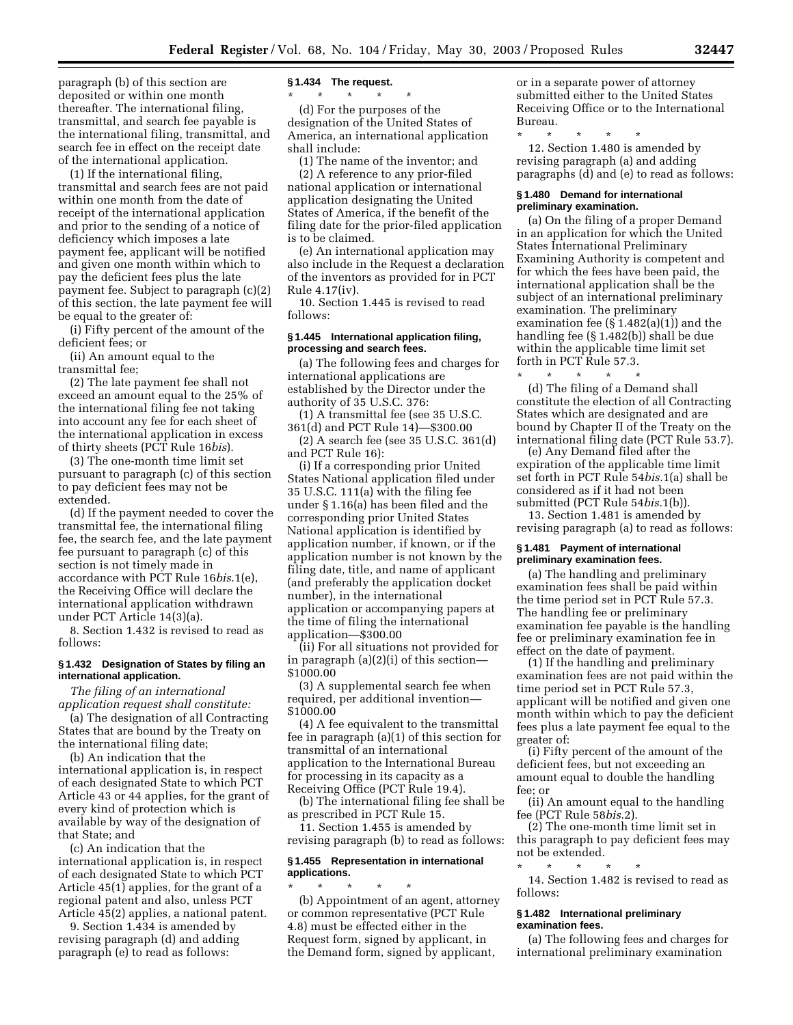paragraph (b) of this section are deposited or within one month thereafter. The international filing, transmittal, and search fee payable is the international filing, transmittal, and search fee in effect on the receipt date of the international application.

(1) If the international filing, transmittal and search fees are not paid within one month from the date of receipt of the international application and prior to the sending of a notice of deficiency which imposes a late payment fee, applicant will be notified and given one month within which to pay the deficient fees plus the late payment fee. Subject to paragraph (c)(2) of this section, the late payment fee will be equal to the greater of:

(i) Fifty percent of the amount of the deficient fees; or

(ii) An amount equal to the transmittal fee;

(2) The late payment fee shall not exceed an amount equal to the 25% of the international filing fee not taking into account any fee for each sheet of the international application in excess of thirty sheets (PCT Rule 16*bis*).

(3) The one-month time limit set pursuant to paragraph (c) of this section to pay deficient fees may not be extended.

(d) If the payment needed to cover the transmittal fee, the international filing fee, the search fee, and the late payment fee pursuant to paragraph (c) of this section is not timely made in accordance with PCT Rule 16*bis*.1(e), the Receiving Office will declare the international application withdrawn under PCT Article 14(3)(a).

8. Section 1.432 is revised to read as follows:

# **§ 1.432 Designation of States by filing an international application.**

*The filing of an international application request shall constitute:* 

(a) The designation of all Contracting States that are bound by the Treaty on the international filing date;

(b) An indication that the international application is, in respect of each designated State to which PCT Article 43 or 44 applies, for the grant of every kind of protection which is available by way of the designation of that State; and

(c) An indication that the international application is, in respect of each designated State to which PCT Article 45(1) applies, for the grant of a regional patent and also, unless PCT Article 45(2) applies, a national patent.

9. Section 1.434 is amended by revising paragraph (d) and adding paragraph (e) to read as follows:

#### **§ 1.434 The request.**

\* \* \* \* \*

(d) For the purposes of the designation of the United States of America, an international application shall include:

(1) The name of the inventor; and

(2) A reference to any prior-filed national application or international application designating the United States of America, if the benefit of the filing date for the prior-filed application is to be claimed.

(e) An international application may also include in the Request a declaration of the inventors as provided for in PCT Rule 4.17(iv).

10. Section 1.445 is revised to read follows:

#### **§ 1.445 International application filing, processing and search fees.**

(a) The following fees and charges for international applications are established by the Director under the authority of 35 U.S.C. 376:

(1) A transmittal fee (see 35 U.S.C. 361(d) and PCT Rule 14)—\$300.00

(2) A search fee (see 35 U.S.C. 361(d) and PCT Rule 16):

(i) If a corresponding prior United States National application filed under 35 U.S.C. 111(a) with the filing fee under § 1.16(a) has been filed and the corresponding prior United States National application is identified by application number, if known, or if the application number is not known by the filing date, title, and name of applicant (and preferably the application docket number), in the international application or accompanying papers at the time of filing the international application—\$300.00

(ii) For all situations not provided for in paragraph (a)(2)(i) of this section— \$1000.00

(3) A supplemental search fee when required, per additional invention— \$1000.00

(4) A fee equivalent to the transmittal fee in paragraph (a)(1) of this section for transmittal of an international application to the International Bureau for processing in its capacity as a Receiving Office (PCT Rule 19.4).

(b) The international filing fee shall be as prescribed in PCT Rule 15.

11. Section 1.455 is amended by revising paragraph (b) to read as follows:

# **§ 1.455 Representation in international applications.**

\* \* \* \* \* (b) Appointment of an agent, attorney or common representative (PCT Rule 4.8) must be effected either in the Request form, signed by applicant, in the Demand form, signed by applicant,

or in a separate power of attorney submitted either to the United States Receiving Office or to the International Bureau.

\* \* \* \* \* 12. Section 1.480 is amended by revising paragraph (a) and adding paragraphs (d) and (e) to read as follows:

#### **§ 1.480 Demand for international preliminary examination.**

(a) On the filing of a proper Demand in an application for which the United States International Preliminary Examining Authority is competent and for which the fees have been paid, the international application shall be the subject of an international preliminary examination. The preliminary examination fee (§ 1.482(a)(1)) and the handling fee (§ 1.482(b)) shall be due within the applicable time limit set forth in PCT Rule 57.3. \* \* \* \* \*

(d) The filing of a Demand shall constitute the election of all Contracting States which are designated and are bound by Chapter II of the Treaty on the international filing date (PCT Rule 53.7).

(e) Any Demand filed after the expiration of the applicable time limit set forth in PCT Rule 54*bis.*1(a) shall be considered as if it had not been submitted (PCT Rule 54*bis.*1(b)).

13. Section 1.481 is amended by revising paragraph (a) to read as follows:

## **§ 1.481 Payment of international preliminary examination fees.**

(a) The handling and preliminary examination fees shall be paid within the time period set in PCT Rule 57.3. The handling fee or preliminary examination fee payable is the handling fee or preliminary examination fee in effect on the date of payment.

(1) If the handling and preliminary examination fees are not paid within the time period set in PCT Rule 57.3, applicant will be notified and given one month within which to pay the deficient fees plus a late payment fee equal to the greater of:

(i) Fifty percent of the amount of the deficient fees, but not exceeding an amount equal to double the handling fee; or

(ii) An amount equal to the handling fee (PCT Rule 58*bis*.2).

(2) The one-month time limit set in this paragraph to pay deficient fees may not be extended.

\* \* \* \* \* 14. Section 1.482 is revised to read as follows:

# **§ 1.482 International preliminary examination fees.**

(a) The following fees and charges for international preliminary examination